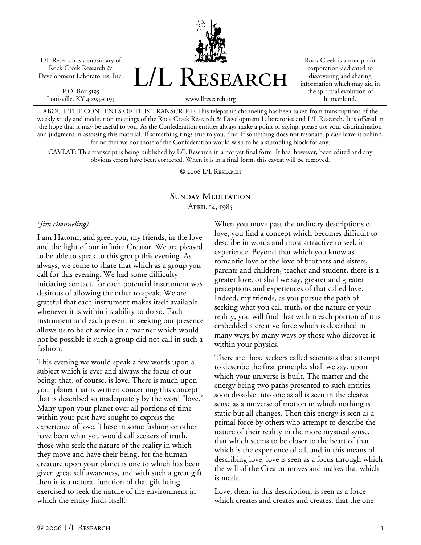L/L Research is a subsidiary of Rock Creek Research & Development Laboratories, Inc.

P.O. Box 5195 Louisville, KY 40255-0195 L/L Research

Rock Creek is a non-profit corporation dedicated to discovering and sharing information which may aid in the spiritual evolution of humankind.

www.llresearch.org

ABOUT THE CONTENTS OF THIS TRANSCRIPT: This telepathic channeling has been taken from transcriptions of the weekly study and meditation meetings of the Rock Creek Research & Development Laboratories and L/L Research. It is offered in the hope that it may be useful to you. As the Confederation entities always make a point of saying, please use your discrimination and judgment in assessing this material. If something rings true to you, fine. If something does not resonate, please leave it behind, for neither we nor those of the Confederation would wish to be a stumbling block for any.

CAVEAT: This transcript is being published by L/L Research in a not yet final form. It has, however, been edited and any obvious errors have been corrected. When it is in a final form, this caveat will be removed.

© 2006 L/L Research

#### SUNDAY MEDITATION April 14, 1985

#### *(Jim channeling)*

I am Hatonn, and greet you, my friends, in the love and the light of our infinite Creator. We are pleased to be able to speak to this group this evening. As always, we come to share that which as a group you call for this evening. We had some difficulty initiating contact, for each potential instrument was desirous of allowing the other to speak. We are grateful that each instrument makes itself available whenever it is within its ability to do so. Each instrument and each present in seeking our presence allows us to be of service in a manner which would not be possible if such a group did not call in such a fashion.

This evening we would speak a few words upon a subject which is ever and always the focus of our being: that, of course, is love. There is much upon your planet that is written concerning this concept that is described so inadequately by the word "love." Many upon your planet over all portions of time within your past have sought to express the experience of love. These in some fashion or other have been what you would call seekers of truth, those who seek the nature of the reality in which they move and have their being, for the human creature upon your planet is one to which has been given great self awareness, and with such a great gift then it is a natural function of that gift being exercised to seek the nature of the environment in which the entity finds itself.

When you move past the ordinary descriptions of love, you find a concept which becomes difficult to describe in words and most attractive to seek in experience. Beyond that which you know as romantic love or the love of brothers and sisters, parents and children, teacher and student, there is a greater love, or shall we say, greater and greater perceptions and experiences of that called love. Indeed, my friends, as you pursue the path of seeking what you call truth, or the nature of your reality, you will find that within each portion of it is embedded a creative force which is described in many ways by many ways by those who discover it within your physics.

There are those seekers called scientists that attempt to describe the first principle, shall we say, upon which your universe is built. The matter and the energy being two paths presented to such entities soon dissolve into one as all is seen in the clearest sense as a universe of motion in which nothing is static but all changes. Then this energy is seen as a primal force by others who attempt to describe the nature of their reality in the more mystical sense, that which seems to be closer to the heart of that which is the experience of all, and in this means of describing love, love is seen as a focus through which the will of the Creator moves and makes that which is made.

Love, then, in this description, is seen as a force which creates and creates and creates, that the one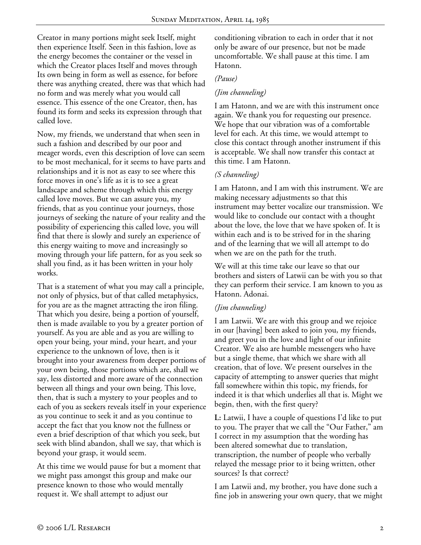Creator in many portions might seek Itself, might then experience Itself. Seen in this fashion, love as the energy becomes the container or the vessel in which the Creator places Itself and moves through Its own being in form as well as essence, for before there was anything created, there was that which had no form and was merely what you would call essence. This essence of the one Creator, then, has found its form and seeks its expression through that called love.

Now, my friends, we understand that when seen in such a fashion and described by our poor and meager words, even this description of love can seem to be most mechanical, for it seems to have parts and relationships and it is not as easy to see where this force moves in one's life as it is to see a great landscape and scheme through which this energy called love moves. But we can assure you, my friends, that as you continue your journeys, those journeys of seeking the nature of your reality and the possibility of experiencing this called love, you will find that there is slowly and surely an experience of this energy waiting to move and increasingly so moving through your life pattern, for as you seek so shall you find, as it has been written in your holy works.

That is a statement of what you may call a principle, not only of physics, but of that called metaphysics, for you are as the magnet attracting the iron filing. That which you desire, being a portion of yourself, then is made available to you by a greater portion of yourself. As you are able and as you are willing to open your being, your mind, your heart, and your experience to the unknown of love, then is it brought into your awareness from deeper portions of your own being, those portions which are, shall we say, less distorted and more aware of the connection between all things and your own being. This love, then, that is such a mystery to your peoples and to each of you as seekers reveals itself in your experience as you continue to seek it and as you continue to accept the fact that you know not the fullness or even a brief description of that which you seek, but seek with blind abandon, shall we say, that which is beyond your grasp, it would seem.

At this time we would pause for but a moment that we might pass amongst this group and make our presence known to those who would mentally request it. We shall attempt to adjust our

conditioning vibration to each in order that it not only be aware of our presence, but not be made uncomfortable. We shall pause at this time. I am Hatonn.

### *(Pause)*

### *(Jim channeling)*

I am Hatonn, and we are with this instrument once again. We thank you for requesting our presence. We hope that our vibration was of a comfortable level for each. At this time, we would attempt to close this contact through another instrument if this is acceptable. We shall now transfer this contact at this time. I am Hatonn.

# *(S channeling)*

I am Hatonn, and I am with this instrument. We are making necessary adjustments so that this instrument may better vocalize our transmission. We would like to conclude our contact with a thought about the love, the love that we have spoken of. It is within each and is to be strived for in the sharing and of the learning that we will all attempt to do when we are on the path for the truth.

We will at this time take our leave so that our brothers and sisters of Latwii can be with you so that they can perform their service. I am known to you as Hatonn. Adonai.

# *(Jim channeling)*

I am Latwii. We are with this group and we rejoice in our [having] been asked to join you, my friends, and greet you in the love and light of our infinite Creator. We also are humble messengers who have but a single theme, that which we share with all creation, that of love. We present ourselves in the capacity of attempting to answer queries that might fall somewhere within this topic, my friends, for indeed it is that which underlies all that is. Might we begin, then, with the first query?

**L:** Latwii, I have a couple of questions I'd like to put to you. The prayer that we call the "Our Father," am I correct in my assumption that the wording has been altered somewhat due to translation, transcription, the number of people who verbally relayed the message prior to it being written, other sources? Is that correct?

I am Latwii and, my brother, you have done such a fine job in answering your own query, that we might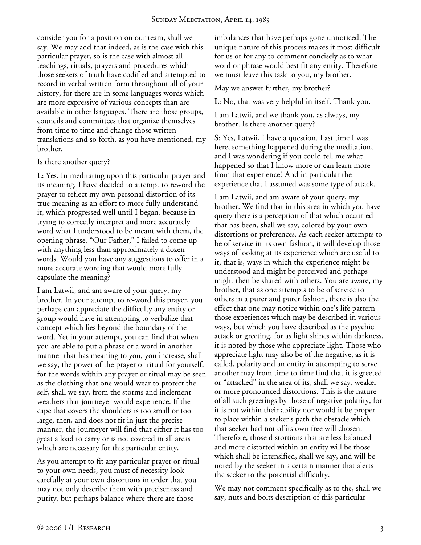consider you for a position on our team, shall we say. We may add that indeed, as is the case with this particular prayer, so is the case with almost all teachings, rituals, prayers and procedures which those seekers of truth have codified and attempted to record in verbal written form throughout all of your history, for there are in some languages words which are more expressive of various concepts than are available in other languages. There are those groups, councils and committees that organize themselves from time to time and change those written translations and so forth, as you have mentioned, my brother.

#### Is there another query?

**L:** Yes. In meditating upon this particular prayer and its meaning, I have decided to attempt to reword the prayer to reflect my own personal distortion of its true meaning as an effort to more fully understand it, which progressed well until I began, because in trying to correctly interpret and more accurately word what I understood to be meant with them, the opening phrase, "Our Father," I failed to come up with anything less than approximately a dozen words. Would you have any suggestions to offer in a more accurate wording that would more fully capsulate the meaning?

I am Latwii, and am aware of your query, my brother. In your attempt to re-word this prayer, you perhaps can appreciate the difficulty any entity or group would have in attempting to verbalize that concept which lies beyond the boundary of the word. Yet in your attempt, you can find that when you are able to put a phrase or a word in another manner that has meaning to you, you increase, shall we say, the power of the prayer or ritual for yourself, for the words within any prayer or ritual may be seen as the clothing that one would wear to protect the self, shall we say, from the storms and inclement weathers that journeyer would experience. If the cape that covers the shoulders is too small or too large, then, and does not fit in just the precise manner, the journeyer will find that either it has too great a load to carry or is not covered in all areas which are necessary for this particular entity.

As you attempt to fit any particular prayer or ritual to your own needs, you must of necessity look carefully at your own distortions in order that you may not only describe them with preciseness and purity, but perhaps balance where there are those

imbalances that have perhaps gone unnoticed. The unique nature of this process makes it most difficult for us or for any to comment concisely as to what word or phrase would best fit any entity. Therefore we must leave this task to you, my brother.

May we answer further, my brother?

**L:** No, that was very helpful in itself. Thank you.

I am Latwii, and we thank you, as always, my brother. Is there another query?

**S:** Yes, Latwii, I have a question. Last time I was here, something happened during the meditation, and I was wondering if you could tell me what happened so that I know more or can learn more from that experience? And in particular the experience that I assumed was some type of attack.

I am Latwii, and am aware of your query, my brother. We find that in this area in which you have query there is a perception of that which occurred that has been, shall we say, colored by your own distortions or preferences. As each seeker attempts to be of service in its own fashion, it will develop those ways of looking at its experience which are useful to it, that is, ways in which the experience might be understood and might be perceived and perhaps might then be shared with others. You are aware, my brother, that as one attempts to be of service to others in a purer and purer fashion, there is also the effect that one may notice within one's life pattern those experiences which may be described in various ways, but which you have described as the psychic attack or greeting, for as light shines within darkness, it is noted by those who appreciate light. Those who appreciate light may also be of the negative, as it is called, polarity and an entity in attempting to serve another may from time to time find that it is greeted or "attacked" in the area of its, shall we say, weaker or more pronounced distortions. This is the nature of all such greetings by those of negative polarity, for it is not within their ability nor would it be proper to place within a seeker's path the obstacle which that seeker had not of its own free will chosen. Therefore, those distortions that are less balanced and more distorted within an entity will be those which shall be intensified, shall we say, and will be noted by the seeker in a certain manner that alerts the seeker to the potential difficulty.

We may not comment specifically as to the, shall we say, nuts and bolts description of this particular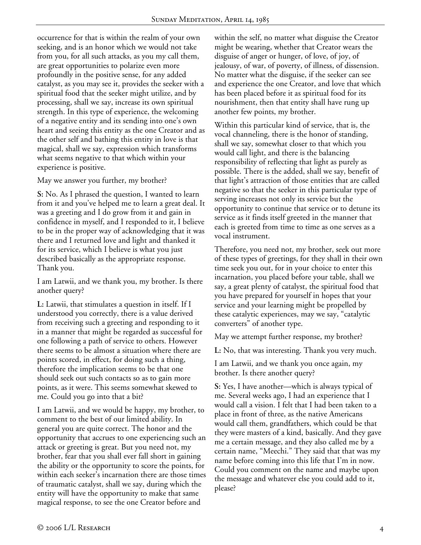occurrence for that is within the realm of your own seeking, and is an honor which we would not take from you, for all such attacks, as you my call them, are great opportunities to polarize even more profoundly in the positive sense, for any added catalyst, as you may see it, provides the seeker with a spiritual food that the seeker might utilize, and by processing, shall we say, increase its own spiritual strength. In this type of experience, the welcoming of a negative entity and its sending into one's own heart and seeing this entity as the one Creator and as the other self and bathing this entity in love is that magical, shall we say, expression which transforms what seems negative to that which within your experience is positive.

May we answer you further, my brother?

**S:** No. As I phrased the question, I wanted to learn from it and you've helped me to learn a great deal. It was a greeting and I do grow from it and gain in confidence in myself, and I responded to it, I believe to be in the proper way of acknowledging that it was there and I returned love and light and thanked it for its service, which I believe is what you just described basically as the appropriate response. Thank you.

I am Latwii, and we thank you, my brother. Is there another query?

**L:** Latwii, that stimulates a question in itself. If I understood you correctly, there is a value derived from receiving such a greeting and responding to it in a manner that might be regarded as successful for one following a path of service to others. However there seems to be almost a situation where there are points scored, in effect, for doing such a thing, therefore the implication seems to be that one should seek out such contacts so as to gain more points, as it were. This seems somewhat skewed to me. Could you go into that a bit?

I am Latwii, and we would be happy, my brother, to comment to the best of our limited ability. In general you are quite correct. The honor and the opportunity that accrues to one experiencing such an attack or greeting is great. But you need not, my brother, fear that you shall ever fall short in gaining the ability or the opportunity to score the points, for within each seeker's incarnation there are those times of traumatic catalyst, shall we say, during which the entity will have the opportunity to make that same magical response, to see the one Creator before and

within the self, no matter what disguise the Creator might be wearing, whether that Creator wears the disguise of anger or hunger, of love, of joy, of jealousy, of war, of poverty, of illness, of dissension. No matter what the disguise, if the seeker can see and experience the one Creator, and love that which has been placed before it as spiritual food for its nourishment, then that entity shall have rung up another few points, my brother.

Within this particular kind of service, that is, the vocal channeling, there is the honor of standing, shall we say, somewhat closer to that which you would call light, and there is the balancing responsibility of reflecting that light as purely as possible. There is the added, shall we say, benefit of that light's attraction of those entities that are called negative so that the seeker in this particular type of serving increases not only its service but the opportunity to continue that service or to detune its service as it finds itself greeted in the manner that each is greeted from time to time as one serves as a vocal instrument.

Therefore, you need not, my brother, seek out more of these types of greetings, for they shall in their own time seek you out, for in your choice to enter this incarnation, you placed before your table, shall we say, a great plenty of catalyst, the spiritual food that you have prepared for yourself in hopes that your service and your learning might be propelled by these catalytic experiences, may we say, "catalytic converters" of another type.

May we attempt further response, my brother?

**L:** No, that was interesting. Thank you very much.

I am Latwii, and we thank you once again, my brother. Is there another query?

**S:** Yes, I have another—which is always typical of me. Several weeks ago, I had an experience that I would call a vision. I felt that I had been taken to a place in front of three, as the native Americans would call them, grandfathers, which could be that they were masters of a kind, basically. And they gave me a certain message, and they also called me by a certain name, "Meechi." They said that that was my name before coming into this life that I'm in now. Could you comment on the name and maybe upon the message and whatever else you could add to it, please?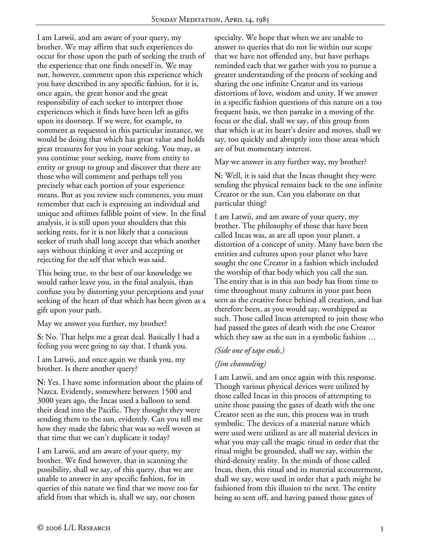I am Latwii, and am aware of your query, my brother. We may affirm that such experiences do occur for those upon the path of seeking the truth of the experience that one finds oneself in. We may not, however, comment upon this experience which you have described in any specific fashion, for it is, once again, the great honor and the great responsibility of each seeker to interpret those experiences which it finds have been left as gifts upon its doorstep. If we were, for example, to comment as requested in this particular instance, we would be doing that which has great value and holds great treasures for you in your seeking. You may, as you continue your seeking, move from entity to entity or group to group and discover that there are those who will comment and perhaps tell you precisely what each portion of your experience means. But as you review such comments, you must remember that each is expressing an individual and unique and oftimes fallible point of view. In the final analysis, it is still upon your shoulders that this seeking rests, for it is not likely that a conscious seeker of truth shall long accept that which another says without thinking it over and accepting or rejecting for the self that which was said.

This being true, to the best of our knowledge we would rather leave you, in the final analysis, than confuse you by distorting your perceptions and your seeking of the heart of that which has been given as a gift upon your path.

May we answer you further, my brother?

**S:** No. That helps me a great deal. Basically I had a feeling you were going to say that. I thank you.

I am Latwii, and once again we thank you, my brother. Is there another query?

**N:** Yes. I have some information about the plains of Nazca. Evidently, somewhere between 1500 and 3000 years ago, the Incas used a balloon to send their dead into the Pacific. They thought they were sending them to the sun, evidently. Can you tell me how they made the fabric that was so well woven at that time that we can't duplicate it today?

I am Latwii, and am aware of your query, my brother. We find however, that in scanning the possibility, shall we say, of this query, that we are unable to answer in any specific fashion, for in queries of this nature we find that we move too far afield from that which is, shall we say, our chosen

specialty. We hope that when we are unable to answer to queries that do not lie within our scope that we have not offended any, but have perhaps reminded each that we gather with you to pursue a greater understanding of the process of seeking and sharing the one infinite Creator and its various distortions of love, wisdom and unity. If we answer in a specific fashion questions of this nature on a too frequent basis, we then partake in a moving of the focus or the dial, shall we say, of this group from that which is at its heart's desire and moves, shall we say, too quickly and abruptly into those areas which are of but momentary interest.

May we answer in any further way, my brother?

**N:** Well, it is said that the Incas thought they were sending the physical remains back to the one infinite Creator or the sun. Can you elaborate on that particular thing?

I am Latwii, and am aware of your query, my brother. The philosophy of those that have been called Incas was, as are all upon your planet, a distortion of a concept of unity. Many have been the entities and cultures upon your planet who have sought the one Creator in a fashion which included the worship of that body which you call the sun. The entity that is in this sun body has from time to time throughout many cultures in your past been seen as the creative force behind all creation, and has therefore been, as you would say, worshipped as such. Those called Incas attempted to join those who had passed the gates of death with the one Creator which they saw as the sun in a symbolic fashion …

# *(Side one of tape ends.)*

# *(Jim channeling)*

I am Latwii, and am once again with this response. Though various physical devices were utilized by those called Incas in this process of attempting to unite those passing the gates of death with the one Creator seen as the sun, this process was in truth symbolic. The devices of a material nature which were used were utilized as are all material devices in what you may call the magic ritual in order that the ritual might be grounded, shall we say, within the third-density reality. In the minds of those called Incas, then, this ritual and its material accouterment, shall we say, were used in order that a path might be fashioned from this illusion to the next. The entity being so sent off, and having passed those gates of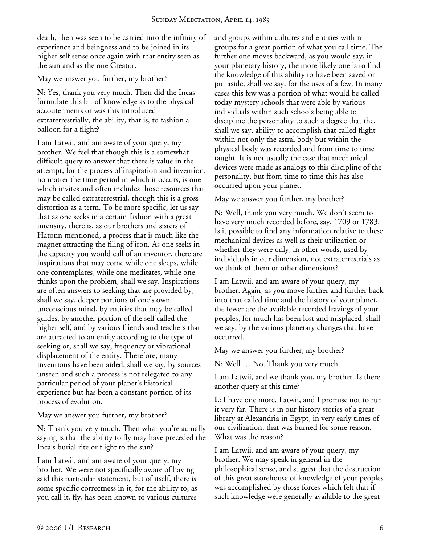death, then was seen to be carried into the infinity of experience and beingness and to be joined in its higher self sense once again with that entity seen as the sun and as the one Creator.

May we answer you further, my brother?

**N:** Yes, thank you very much. Then did the Incas formulate this bit of knowledge as to the physical accouterments or was this introduced extraterrestrially, the ability, that is, to fashion a balloon for a flight?

I am Latwii, and am aware of your query, my brother. We feel that though this is a somewhat difficult query to answer that there is value in the attempt, for the process of inspiration and invention, no matter the time period in which it occurs, is one which invites and often includes those resources that may be called extraterrestrial, though this is a gross distortion as a term. To be more specific, let us say that as one seeks in a certain fashion with a great intensity, there is, as our brothers and sisters of Hatonn mentioned, a process that is much like the magnet attracting the filing of iron. As one seeks in the capacity you would call of an inventor, there are inspirations that may come while one sleeps, while one contemplates, while one meditates, while one thinks upon the problem, shall we say. Inspirations are often answers to seeking that are provided by, shall we say, deeper portions of one's own unconscious mind, by entities that may be called guides, by another portion of the self called the higher self, and by various friends and teachers that are attracted to an entity according to the type of seeking or, shall we say, frequency or vibrational displacement of the entity. Therefore, many inventions have been aided, shall we say, by sources unseen and such a process is not relegated to any particular period of your planet's historical experience but has been a constant portion of its process of evolution.

May we answer you further, my brother?

**N:** Thank you very much. Then what you're actually saying is that the ability to fly may have preceded the Inca's burial rite or flight to the sun?

I am Latwii, and am aware of your query, my brother. We were not specifically aware of having said this particular statement, but of itself, there is some specific correctness in it, for the ability to, as you call it, fly, has been known to various cultures

and groups within cultures and entities within groups for a great portion of what you call time. The further one moves backward, as you would say, in your planetary history, the more likely one is to find the knowledge of this ability to have been saved or put aside, shall we say, for the uses of a few. In many cases this few was a portion of what would be called today mystery schools that were able by various individuals within such schools being able to discipline the personality to such a degree that the, shall we say, ability to accomplish that called flight within not only the astral body but within the physical body was recorded and from time to time taught. It is not usually the case that mechanical devices were made as analogs to this discipline of the personality, but from time to time this has also occurred upon your planet.

May we answer you further, my brother?

**N:** Well, thank you very much. We don't seem to have very much recorded before, say, 1709 or 1783. Is it possible to find any information relative to these mechanical devices as well as their utilization or whether they were only, in other words, used by individuals in our dimension, not extraterrestrials as we think of them or other dimensions?

I am Latwii, and am aware of your query, my brother. Again, as you move further and further back into that called time and the history of your planet, the fewer are the available recorded leavings of your peoples, for much has been lost and misplaced, shall we say, by the various planetary changes that have occurred.

May we answer you further, my brother?

**N:** Well … No. Thank you very much.

I am Latwii, and we thank you, my brother. Is there another query at this time?

**L:** I have one more, Latwii, and I promise not to run it very far. There is in our history stories of a great library at Alexandria in Egypt, in very early times of our civilization, that was burned for some reason. What was the reason?

I am Latwii, and am aware of your query, my brother. We may speak in general in the philosophical sense, and suggest that the destruction of this great storehouse of knowledge of your peoples was accomplished by those forces which felt that if such knowledge were generally available to the great